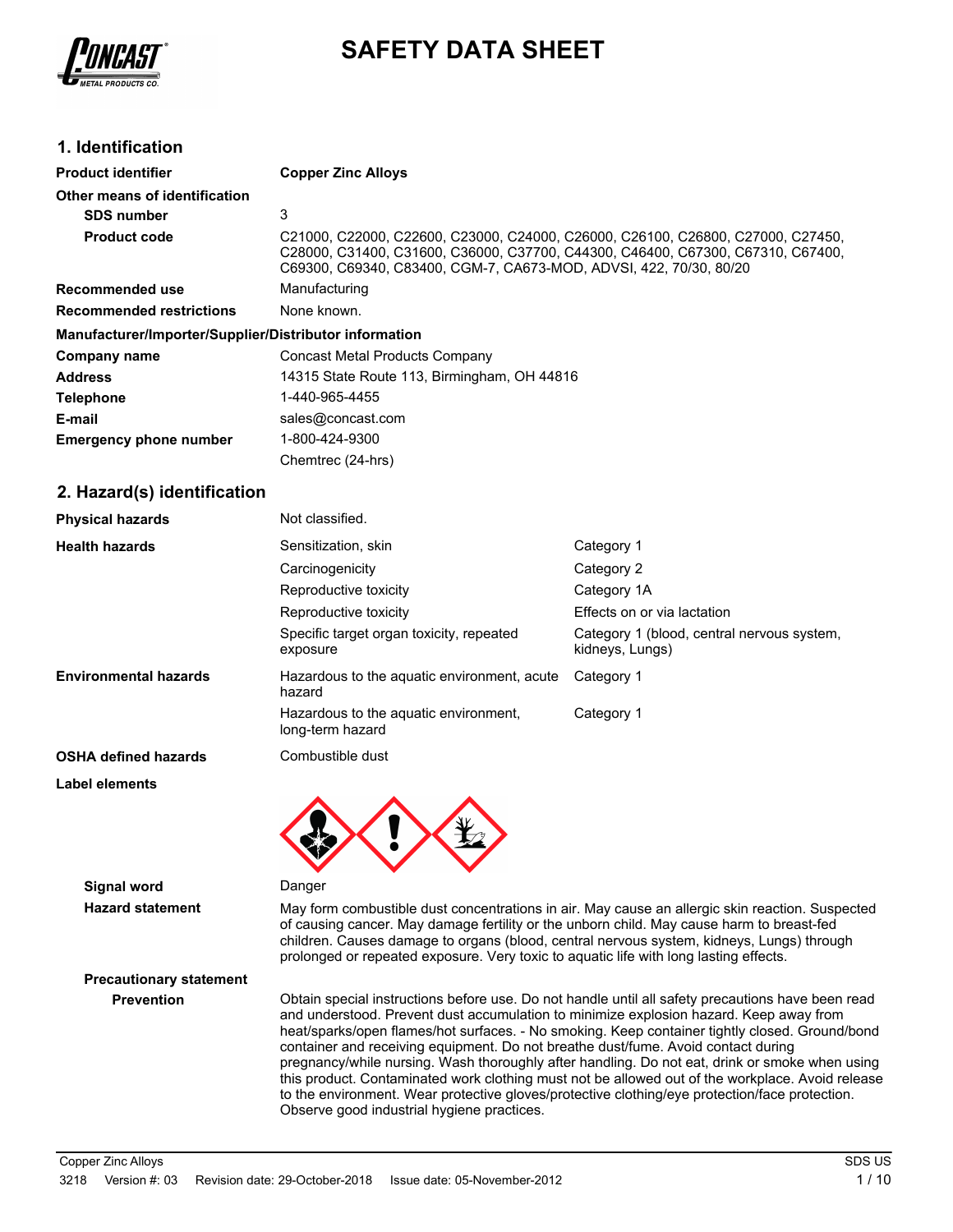

## **SAFETY DATA SHEET**

## **1. Identification**

| <b>Product identifier</b>                              | <b>Copper Zinc Alloys</b>                                                                                                                                                                                                                |
|--------------------------------------------------------|------------------------------------------------------------------------------------------------------------------------------------------------------------------------------------------------------------------------------------------|
| Other means of identification                          |                                                                                                                                                                                                                                          |
| <b>SDS number</b>                                      | 3                                                                                                                                                                                                                                        |
| <b>Product code</b>                                    | C21000, C22000, C22600, C23000, C24000, C26000, C26100, C26800, C27000, C27450,<br>C28000, C31400, C31600, C36000, C37700, C44300, C46400, C67300, C67310, C67400,<br>C69300, C69340, C83400, CGM-7, CA673-MOD, ADVSI, 422, 70/30, 80/20 |
| Recommended use                                        | Manufacturing                                                                                                                                                                                                                            |
| <b>Recommended restrictions</b>                        | None known.                                                                                                                                                                                                                              |
| Manufacturer/Importer/Supplier/Distributor information |                                                                                                                                                                                                                                          |
| Company name                                           | Concast Metal Products Company                                                                                                                                                                                                           |
| <b>Address</b>                                         | 14315 State Route 113, Birmingham, OH 44816                                                                                                                                                                                              |
| <b>Telephone</b>                                       | 1-440-965-4455                                                                                                                                                                                                                           |
| E-mail                                                 | sales@concast.com                                                                                                                                                                                                                        |
| <b>Emergency phone number</b>                          | 1-800-424-9300                                                                                                                                                                                                                           |
|                                                        | Chemtrec (24-hrs)                                                                                                                                                                                                                        |
| 2 Hazardía) idantification                             |                                                                                                                                                                                                                                          |

## **2. Hazard(s) identification**

| <b>Physical hazards</b>      | Not classified.                                           |                                                               |
|------------------------------|-----------------------------------------------------------|---------------------------------------------------------------|
| <b>Health hazards</b>        | Sensitization, skin                                       | Category 1                                                    |
|                              | Carcinogenicity                                           | Category 2                                                    |
|                              | Reproductive toxicity                                     | Category 1A                                                   |
|                              | Reproductive toxicity                                     | Effects on or via lactation                                   |
|                              | Specific target organ toxicity, repeated<br>exposure      | Category 1 (blood, central nervous system,<br>kidneys, Lungs) |
| <b>Environmental hazards</b> | Hazardous to the aquatic environment, acute<br>hazard     | Category 1                                                    |
|                              | Hazardous to the aguatic environment.<br>long-term hazard | Category 1                                                    |
| <b>OSHA defined hazards</b>  | Combustible dust                                          |                                                               |

#### **Label elements**

**Signal word** Danger

**Hazard statement** May form combustible dust concentrations in air. May cause an allergic skin reaction. Suspected of causing cancer. May damage fertility or the unborn child. May cause harm to breast-fed children. Causes damage to organs (blood, central nervous system, kidneys, Lungs) through prolonged or repeated exposure. Very toxic to aquatic life with long lasting effects.

# **Precautionary statement**

**Prevention** Obtain special instructions before use. Do not handle until all safety precautions have been read and understood. Prevent dust accumulation to minimize explosion hazard. Keep away from heat/sparks/open flames/hot surfaces. - No smoking. Keep container tightly closed. Ground/bond container and receiving equipment. Do not breathe dust/fume. Avoid contact during pregnancy/while nursing. Wash thoroughly after handling. Do not eat, drink or smoke when using this product. Contaminated work clothing must not be allowed out of the workplace. Avoid release to the environment. Wear protective gloves/protective clothing/eye protection/face protection. Observe good industrial hygiene practices.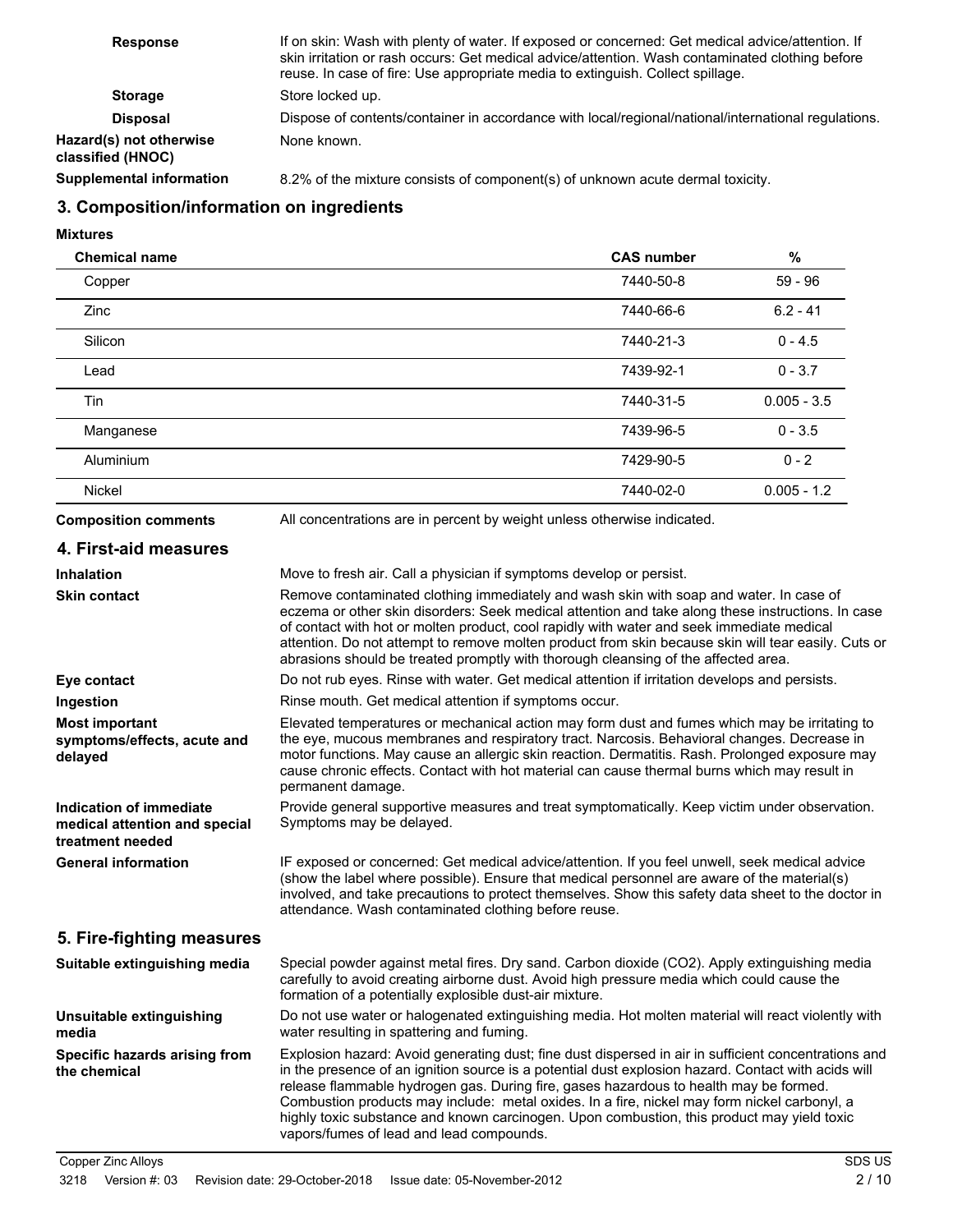| <b>Response</b>                              | If on skin: Wash with plenty of water. If exposed or concerned: Get medical advice/attention. If<br>skin irritation or rash occurs: Get medical advice/attention. Wash contaminated clothing before<br>reuse. In case of fire: Use appropriate media to extinguish. Collect spillage. |
|----------------------------------------------|---------------------------------------------------------------------------------------------------------------------------------------------------------------------------------------------------------------------------------------------------------------------------------------|
| <b>Storage</b>                               | Store locked up.                                                                                                                                                                                                                                                                      |
| <b>Disposal</b>                              | Dispose of contents/container in accordance with local/regional/national/international regulations.                                                                                                                                                                                   |
| Hazard(s) not otherwise<br>classified (HNOC) | None known.                                                                                                                                                                                                                                                                           |
| <b>Supplemental information</b>              | 8.2% of the mixture consists of component(s) of unknown acute dermal toxicity.                                                                                                                                                                                                        |

## **3. Composition/information on ingredients**

**Mixtures**

| <b>Chemical name</b>                                                         |                                                                                                                                                                                                                                                                                                                                                                                                                                                                                                                                                | <b>CAS number</b> | $\%$          |
|------------------------------------------------------------------------------|------------------------------------------------------------------------------------------------------------------------------------------------------------------------------------------------------------------------------------------------------------------------------------------------------------------------------------------------------------------------------------------------------------------------------------------------------------------------------------------------------------------------------------------------|-------------------|---------------|
| Copper                                                                       |                                                                                                                                                                                                                                                                                                                                                                                                                                                                                                                                                | 7440-50-8         | $59 - 96$     |
| Zinc                                                                         |                                                                                                                                                                                                                                                                                                                                                                                                                                                                                                                                                | 7440-66-6         | $6.2 - 41$    |
| Silicon                                                                      |                                                                                                                                                                                                                                                                                                                                                                                                                                                                                                                                                | 7440-21-3         | $0 - 4.5$     |
| Lead                                                                         |                                                                                                                                                                                                                                                                                                                                                                                                                                                                                                                                                | 7439-92-1         | $0 - 3.7$     |
| Tin                                                                          |                                                                                                                                                                                                                                                                                                                                                                                                                                                                                                                                                | 7440-31-5         | $0.005 - 3.5$ |
| Manganese                                                                    |                                                                                                                                                                                                                                                                                                                                                                                                                                                                                                                                                | 7439-96-5         | $0 - 3.5$     |
| Aluminium                                                                    |                                                                                                                                                                                                                                                                                                                                                                                                                                                                                                                                                | 7429-90-5         | $0 - 2$       |
| Nickel                                                                       |                                                                                                                                                                                                                                                                                                                                                                                                                                                                                                                                                | 7440-02-0         | $0.005 - 1.2$ |
| <b>Composition comments</b>                                                  | All concentrations are in percent by weight unless otherwise indicated.                                                                                                                                                                                                                                                                                                                                                                                                                                                                        |                   |               |
| 4. First-aid measures                                                        |                                                                                                                                                                                                                                                                                                                                                                                                                                                                                                                                                |                   |               |
| <b>Inhalation</b>                                                            | Move to fresh air. Call a physician if symptoms develop or persist.                                                                                                                                                                                                                                                                                                                                                                                                                                                                            |                   |               |
| <b>Skin contact</b>                                                          | Remove contaminated clothing immediately and wash skin with soap and water. In case of<br>eczema or other skin disorders: Seek medical attention and take along these instructions. In case<br>of contact with hot or molten product, cool rapidly with water and seek immediate medical<br>attention. Do not attempt to remove molten product from skin because skin will tear easily. Cuts or<br>abrasions should be treated promptly with thorough cleansing of the affected area.                                                          |                   |               |
| Eye contact                                                                  | Do not rub eyes. Rinse with water. Get medical attention if irritation develops and persists.                                                                                                                                                                                                                                                                                                                                                                                                                                                  |                   |               |
| Ingestion                                                                    | Rinse mouth. Get medical attention if symptoms occur.                                                                                                                                                                                                                                                                                                                                                                                                                                                                                          |                   |               |
| <b>Most important</b><br>symptoms/effects, acute and<br>delayed              | Elevated temperatures or mechanical action may form dust and fumes which may be irritating to<br>the eye, mucous membranes and respiratory tract. Narcosis. Behavioral changes. Decrease in<br>motor functions. May cause an allergic skin reaction. Dermatitis. Rash. Prolonged exposure may<br>cause chronic effects. Contact with hot material can cause thermal burns which may result in<br>permanent damage.                                                                                                                             |                   |               |
| Indication of immediate<br>medical attention and special<br>treatment needed | Provide general supportive measures and treat symptomatically. Keep victim under observation.<br>Symptoms may be delayed.                                                                                                                                                                                                                                                                                                                                                                                                                      |                   |               |
| <b>General information</b>                                                   | IF exposed or concerned: Get medical advice/attention. If you feel unwell, seek medical advice<br>(show the label where possible). Ensure that medical personnel are aware of the material(s)<br>involved, and take precautions to protect themselves. Show this safety data sheet to the doctor in<br>attendance. Wash contaminated clothing before reuse.                                                                                                                                                                                    |                   |               |
| 5. Fire-fighting measures                                                    |                                                                                                                                                                                                                                                                                                                                                                                                                                                                                                                                                |                   |               |
| Suitable extinguishing media                                                 | Special powder against metal fires. Dry sand. Carbon dioxide (CO2). Apply extinguishing media<br>carefully to avoid creating airborne dust. Avoid high pressure media which could cause the<br>formation of a potentially explosible dust-air mixture.                                                                                                                                                                                                                                                                                         |                   |               |
| Unsuitable extinguishing<br>media                                            | Do not use water or halogenated extinguishing media. Hot molten material will react violently with<br>water resulting in spattering and fuming.                                                                                                                                                                                                                                                                                                                                                                                                |                   |               |
| Specific hazards arising from<br>the chemical                                | Explosion hazard: Avoid generating dust; fine dust dispersed in air in sufficient concentrations and<br>in the presence of an ignition source is a potential dust explosion hazard. Contact with acids will<br>release flammable hydrogen gas. During fire, gases hazardous to health may be formed.<br>Combustion products may include: metal oxides. In a fire, nickel may form nickel carbonyl, a<br>highly toxic substance and known carcinogen. Upon combustion, this product may yield toxic<br>vapors/fumes of lead and lead compounds. |                   |               |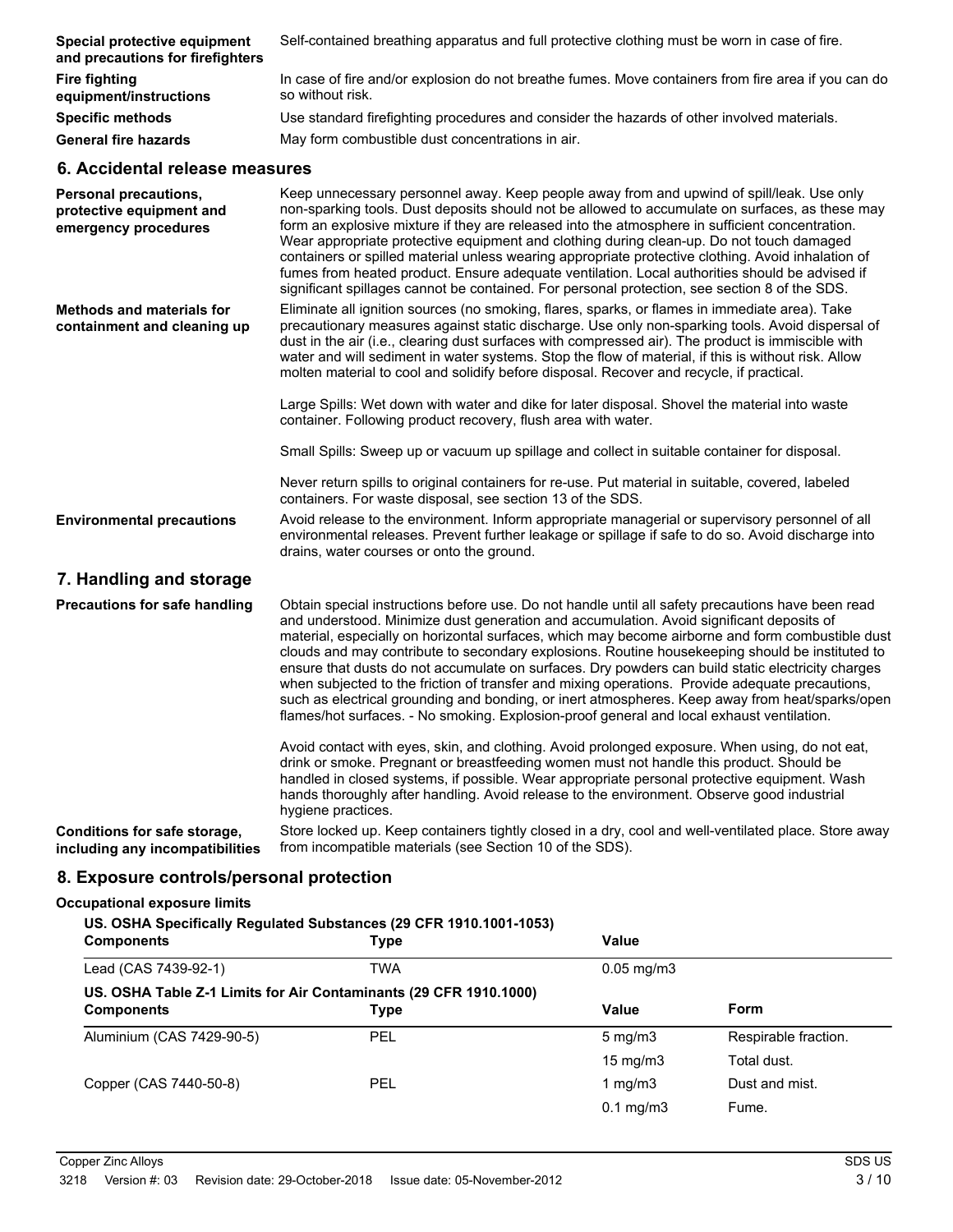| Special protective equipment<br>and precautions for firefighters                 | Self-contained breathing apparatus and full protective clothing must be worn in case of fire.                                                                                                                                                                                                                                                                                                                                                                                                                                                                                                                                                                                                        |
|----------------------------------------------------------------------------------|------------------------------------------------------------------------------------------------------------------------------------------------------------------------------------------------------------------------------------------------------------------------------------------------------------------------------------------------------------------------------------------------------------------------------------------------------------------------------------------------------------------------------------------------------------------------------------------------------------------------------------------------------------------------------------------------------|
| <b>Fire fighting</b><br>equipment/instructions                                   | In case of fire and/or explosion do not breathe fumes. Move containers from fire area if you can do<br>so without risk.                                                                                                                                                                                                                                                                                                                                                                                                                                                                                                                                                                              |
| <b>Specific methods</b>                                                          | Use standard firefighting procedures and consider the hazards of other involved materials.                                                                                                                                                                                                                                                                                                                                                                                                                                                                                                                                                                                                           |
| <b>General fire hazards</b>                                                      | May form combustible dust concentrations in air.                                                                                                                                                                                                                                                                                                                                                                                                                                                                                                                                                                                                                                                     |
| 6. Accidental release measures                                                   |                                                                                                                                                                                                                                                                                                                                                                                                                                                                                                                                                                                                                                                                                                      |
| <b>Personal precautions,</b><br>protective equipment and<br>emergency procedures | Keep unnecessary personnel away. Keep people away from and upwind of spill/leak. Use only<br>non-sparking tools. Dust deposits should not be allowed to accumulate on surfaces, as these may<br>form an explosive mixture if they are released into the atmosphere in sufficient concentration.<br>Wear appropriate protective equipment and clothing during clean-up. Do not touch damaged<br>containers or spilled material unless wearing appropriate protective clothing. Avoid inhalation of<br>fumes from heated product. Ensure adequate ventilation. Local authorities should be advised if<br>significant spillages cannot be contained. For personal protection, see section 8 of the SDS. |
| <b>Methods and materials for</b><br>containment and cleaning up                  | Eliminate all ignition sources (no smoking, flares, sparks, or flames in immediate area). Take<br>precautionary measures against static discharge. Use only non-sparking tools. Avoid dispersal of<br>dust in the air (i.e., clearing dust surfaces with compressed air). The product is immiscible with<br>water and will sediment in water systems. Stop the flow of material, if this is without risk. Allow<br>molten material to cool and solidify before disposal. Recover and recycle, if practical.                                                                                                                                                                                          |
|                                                                                  | Large Spills: Wet down with water and dike for later disposal. Shovel the material into waste<br>container. Following product recovery, flush area with water.                                                                                                                                                                                                                                                                                                                                                                                                                                                                                                                                       |
|                                                                                  | Small Spills: Sweep up or vacuum up spillage and collect in suitable container for disposal.                                                                                                                                                                                                                                                                                                                                                                                                                                                                                                                                                                                                         |

Never return spills to original containers for re-use. Put material in suitable, covered, labeled containers. For waste disposal, see section 13 of the SDS.

Avoid release to the environment. Inform appropriate managerial or supervisory personnel of all environmental releases. Prevent further leakage or spillage if safe to do so. Avoid discharge into drains, water courses or onto the ground. **Environmental precautions**

## **7. Handling and storage**

Obtain special instructions before use. Do not handle until all safety precautions have been read and understood. Minimize dust generation and accumulation. Avoid significant deposits of material, especially on horizontal surfaces, which may become airborne and form combustible dust clouds and may contribute to secondary explosions. Routine housekeeping should be instituted to ensure that dusts do not accumulate on surfaces. Dry powders can build static electricity charges when subjected to the friction of transfer and mixing operations. Provide adequate precautions, such as electrical grounding and bonding, or inert atmospheres. Keep away from heat/sparks/open flames/hot surfaces. - No smoking. Explosion-proof general and local exhaust ventilation. **Precautions for safe handling**

> Avoid contact with eyes, skin, and clothing. Avoid prolonged exposure. When using, do not eat, drink or smoke. Pregnant or breastfeeding women must not handle this product. Should be handled in closed systems, if possible. Wear appropriate personal protective equipment. Wash hands thoroughly after handling. Avoid release to the environment. Observe good industrial hygiene practices.

Store locked up. Keep containers tightly closed in a dry, cool and well-ventilated place. Store away from incompatible materials (see Section 10 of the SDS). **Conditions for safe storage, including any incompatibilities**

## **8. Exposure controls/personal protection**

#### **Occupational exposure limits**

| ccupational exposure limits                                                                                     |                                                                           |                  |                      |
|-----------------------------------------------------------------------------------------------------------------|---------------------------------------------------------------------------|------------------|----------------------|
| US. OSHA Specifically Regulated Substances (29 CFR 1910.1001-1053)<br>Value<br><b>Components</b><br><b>Type</b> |                                                                           |                  |                      |
| Lead (CAS 7439-92-1)                                                                                            | TWA                                                                       | $0.05$ mg/m $3$  |                      |
| <b>Components</b>                                                                                               | US. OSHA Table Z-1 Limits for Air Contaminants (29 CFR 1910.1000)<br>Type | Value            | Form                 |
| Aluminium (CAS 7429-90-5)                                                                                       | <b>PEL</b>                                                                | $5 \text{ mg/m}$ | Respirable fraction. |
|                                                                                                                 |                                                                           | 15 mg/m $3$      | Total dust.          |
| Copper (CAS 7440-50-8)                                                                                          | <b>PEL</b>                                                                | 1 mg/m $3$       | Dust and mist.       |
|                                                                                                                 |                                                                           | $0.1$ mg/m $3$   | Fume.                |
|                                                                                                                 |                                                                           |                  |                      |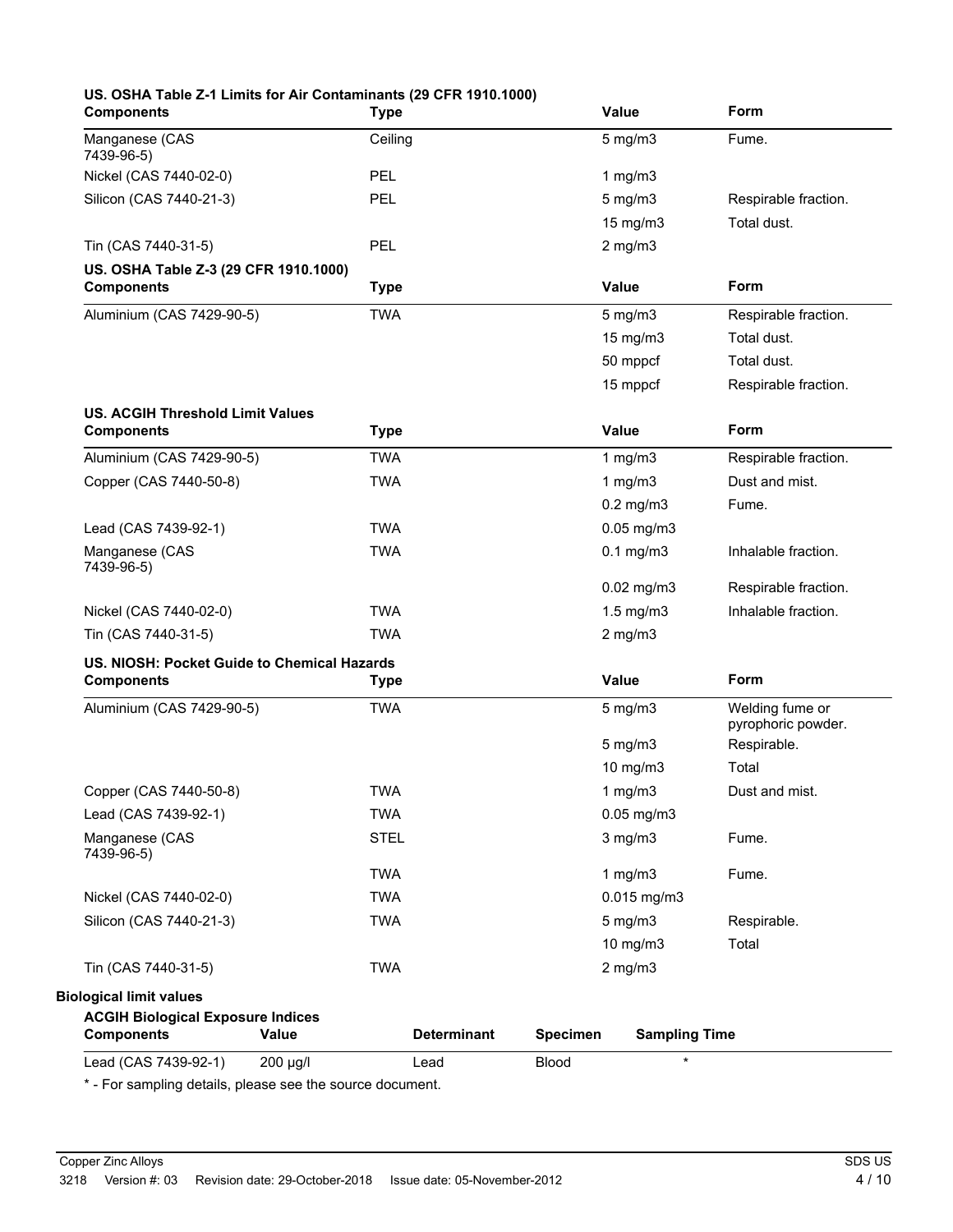| <b>Components</b>                           | <b>Type</b>        | Value                                   | Form                                  |
|---------------------------------------------|--------------------|-----------------------------------------|---------------------------------------|
| Manganese (CAS<br>7439-96-5)                | Ceiling            | $5$ mg/m $3$                            | Fume.                                 |
| Nickel (CAS 7440-02-0)                      | <b>PEL</b>         | 1 $mg/m3$                               |                                       |
| Silicon (CAS 7440-21-3)                     | <b>PEL</b>         | $5$ mg/m $3$                            | Respirable fraction.                  |
|                                             |                    | 15 mg/m3                                | Total dust.                           |
| Tin (CAS 7440-31-5)                         | PEL                | $2$ mg/m $3$                            |                                       |
| US. OSHA Table Z-3 (29 CFR 1910.1000)       |                    |                                         |                                       |
| <b>Components</b>                           | <b>Type</b>        | <b>Value</b>                            | Form                                  |
| Aluminium (CAS 7429-90-5)                   | <b>TWA</b>         | $5$ mg/m $3$                            | Respirable fraction.                  |
|                                             |                    | 15 mg/m3                                | Total dust.                           |
|                                             |                    | 50 mppcf                                | Total dust.                           |
|                                             |                    | 15 mppcf                                | Respirable fraction.                  |
| <b>US. ACGIH Threshold Limit Values</b>     |                    |                                         |                                       |
| <b>Components</b>                           | <b>Type</b>        | Value                                   | Form                                  |
| Aluminium (CAS 7429-90-5)                   | <b>TWA</b>         | 1 $mg/m3$                               | Respirable fraction.                  |
| Copper (CAS 7440-50-8)                      | <b>TWA</b>         | 1 $mg/m3$                               | Dust and mist.                        |
|                                             |                    | $0.2$ mg/m $3$                          | Fume.                                 |
| Lead (CAS 7439-92-1)                        | <b>TWA</b>         | $0.05$ mg/m $3$                         |                                       |
| Manganese (CAS                              | <b>TWA</b>         | $0.1$ mg/m $3$                          | Inhalable fraction.                   |
| 7439-96-5)                                  |                    |                                         |                                       |
|                                             |                    | $0.02$ mg/m $3$                         | Respirable fraction.                  |
| Nickel (CAS 7440-02-0)                      | <b>TWA</b>         | $1.5$ mg/m $3$                          | Inhalable fraction.                   |
| Tin (CAS 7440-31-5)                         | <b>TWA</b>         | $2$ mg/m $3$                            |                                       |
| US. NIOSH: Pocket Guide to Chemical Hazards |                    |                                         | Form                                  |
| <b>Components</b>                           | <b>Type</b>        | <b>Value</b>                            |                                       |
| Aluminium (CAS 7429-90-5)                   | <b>TWA</b>         | $5 \text{ mg/m}$                        | Welding fume or<br>pyrophoric powder. |
|                                             |                    | $5$ mg/m $3$                            | Respirable.                           |
|                                             |                    | 10 mg/m3                                | Total                                 |
| Copper (CAS 7440-50-8)                      | TWA                | $1$ mg/m $3$                            | Dust and mist.                        |
| Lead (CAS 7439-92-1)                        | <b>TWA</b>         | $0.05$ mg/m $3$                         |                                       |
| Manganese (CAS<br>7439-96-5)                | <b>STEL</b>        | $3$ mg/m $3$                            | Fume.                                 |
|                                             | <b>TWA</b>         | 1 $mg/m3$                               | Fume.                                 |
| Nickel (CAS 7440-02-0)                      | <b>TWA</b>         | $0.015$ mg/m3                           |                                       |
| Silicon (CAS 7440-21-3)                     | <b>TWA</b>         | $5$ mg/m $3$                            | Respirable.                           |
|                                             |                    | 10 mg/m3                                | Total                                 |
| Tin (CAS 7440-31-5)                         | <b>TWA</b>         | $2$ mg/m $3$                            |                                       |
| <b>Biological limit values</b>              |                    |                                         |                                       |
| <b>ACGIH Biological Exposure Indices</b>    |                    |                                         |                                       |
| <b>Components</b><br>Value                  | <b>Determinant</b> | <b>Specimen</b><br><b>Sampling Time</b> |                                       |
| Lead (CAS 7439-92-1)<br>200 µg/l            | Lead               | <b>Blood</b><br>$\star$                 |                                       |

\* - For sampling details, please see the source document.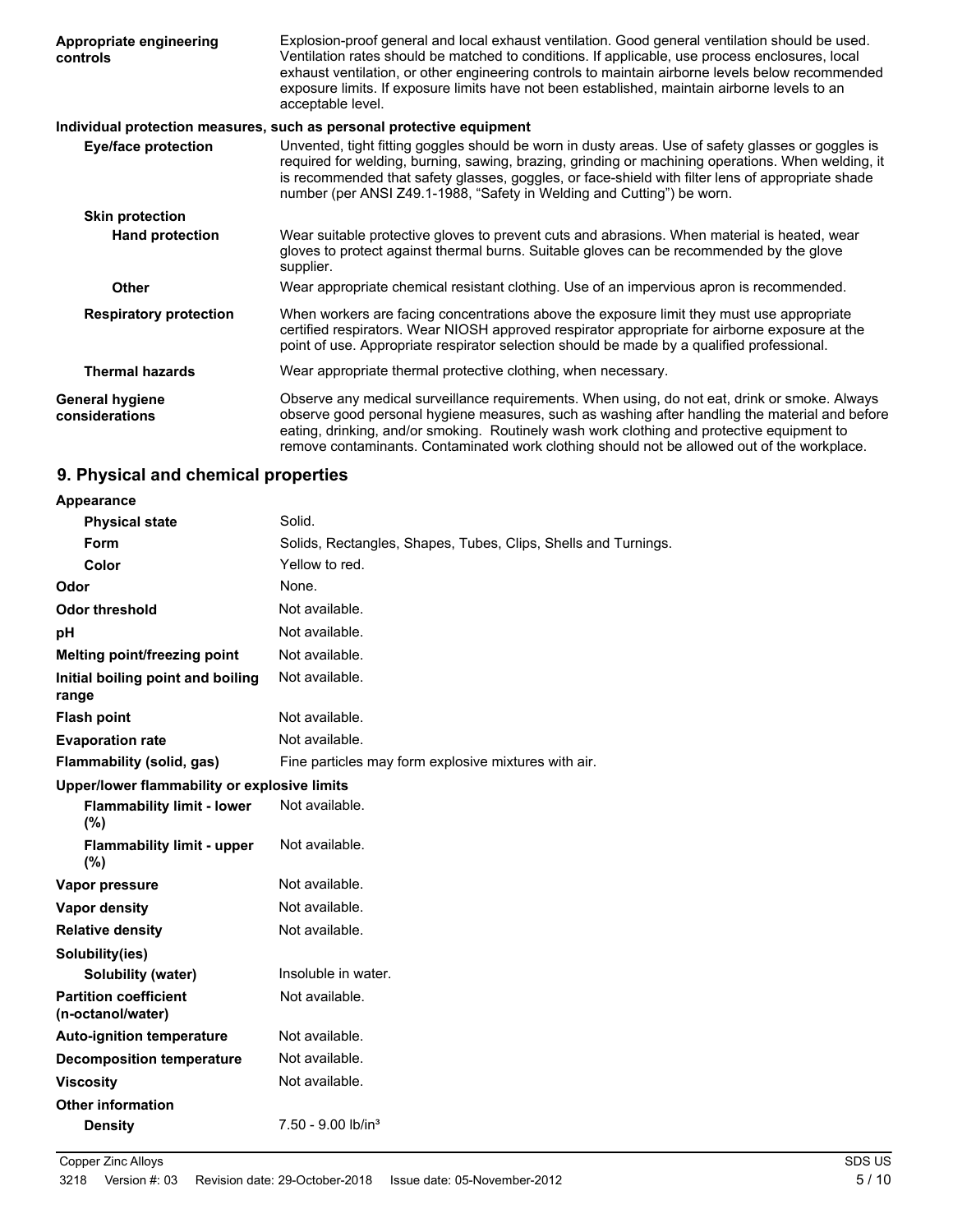| Appropriate engineering<br>controls      | Explosion-proof general and local exhaust ventilation. Good general ventilation should be used.<br>Ventilation rates should be matched to conditions. If applicable, use process enclosures, local<br>exhaust ventilation, or other engineering controls to maintain airborne levels below recommended<br>exposure limits. If exposure limits have not been established, maintain airborne levels to an<br>acceptable level. |
|------------------------------------------|------------------------------------------------------------------------------------------------------------------------------------------------------------------------------------------------------------------------------------------------------------------------------------------------------------------------------------------------------------------------------------------------------------------------------|
|                                          | Individual protection measures, such as personal protective equipment                                                                                                                                                                                                                                                                                                                                                        |
| <b>Eye/face protection</b>               | Unvented, tight fitting goggles should be worn in dusty areas. Use of safety glasses or goggles is<br>required for welding, burning, sawing, brazing, grinding or machining operations. When welding, it<br>is recommended that safety glasses, goggles, or face-shield with filter lens of appropriate shade<br>number (per ANSI Z49.1-1988, "Safety in Welding and Cutting") be worn.                                      |
| <b>Skin protection</b>                   |                                                                                                                                                                                                                                                                                                                                                                                                                              |
| <b>Hand protection</b>                   | Wear suitable protective gloves to prevent cuts and abrasions. When material is heated, wear<br>gloves to protect against thermal burns. Suitable gloves can be recommended by the glove<br>supplier.                                                                                                                                                                                                                        |
| <b>Other</b>                             | Wear appropriate chemical resistant clothing. Use of an impervious apron is recommended.                                                                                                                                                                                                                                                                                                                                     |
| <b>Respiratory protection</b>            | When workers are facing concentrations above the exposure limit they must use appropriate<br>certified respirators. Wear NIOSH approved respirator appropriate for airborne exposure at the<br>point of use. Appropriate respirator selection should be made by a qualified professional.                                                                                                                                    |
| <b>Thermal hazards</b>                   | Wear appropriate thermal protective clothing, when necessary.                                                                                                                                                                                                                                                                                                                                                                |
| <b>General hygiene</b><br>considerations | Observe any medical surveillance requirements. When using, do not eat, drink or smoke. Always<br>observe good personal hygiene measures, such as washing after handling the material and before<br>eating, drinking, and/or smoking. Routinely wash work clothing and protective equipment to<br>remove contaminants. Contaminated work clothing should not be allowed out of the workplace.                                 |

## **9. Physical and chemical properties**

| Appearance                                        |                                                                |
|---------------------------------------------------|----------------------------------------------------------------|
| <b>Physical state</b>                             | Solid.                                                         |
| Form                                              | Solids, Rectangles, Shapes, Tubes, Clips, Shells and Turnings. |
| Color                                             | Yellow to red.                                                 |
| Odor                                              | None.                                                          |
| <b>Odor threshold</b>                             | Not available.                                                 |
| рH                                                | Not available.                                                 |
| Melting point/freezing point                      | Not available.                                                 |
| Initial boiling point and boiling<br>range        | Not available.                                                 |
| <b>Flash point</b>                                | Not available.                                                 |
| <b>Evaporation rate</b>                           | Not available.                                                 |
| Flammability (solid, gas)                         | Fine particles may form explosive mixtures with air.           |
| Upper/lower flammability or explosive limits      |                                                                |
| <b>Flammability limit - lower</b><br>(%)          | Not available.                                                 |
| <b>Flammability limit - upper</b><br>(%)          | Not available.                                                 |
| Vapor pressure                                    | Not available.                                                 |
| <b>Vapor density</b>                              | Not available.                                                 |
| <b>Relative density</b>                           | Not available.                                                 |
| Solubility(ies)                                   |                                                                |
| Solubility (water)                                | Insoluble in water.                                            |
| <b>Partition coefficient</b><br>(n-octanol/water) | Not available.                                                 |
| <b>Auto-ignition temperature</b>                  | Not available.                                                 |
| <b>Decomposition temperature</b>                  | Not available.                                                 |
| <b>Viscosity</b>                                  | Not available.                                                 |
| <b>Other information</b>                          |                                                                |
| <b>Density</b>                                    | 7.50 - 9.00 lb/in <sup>3</sup>                                 |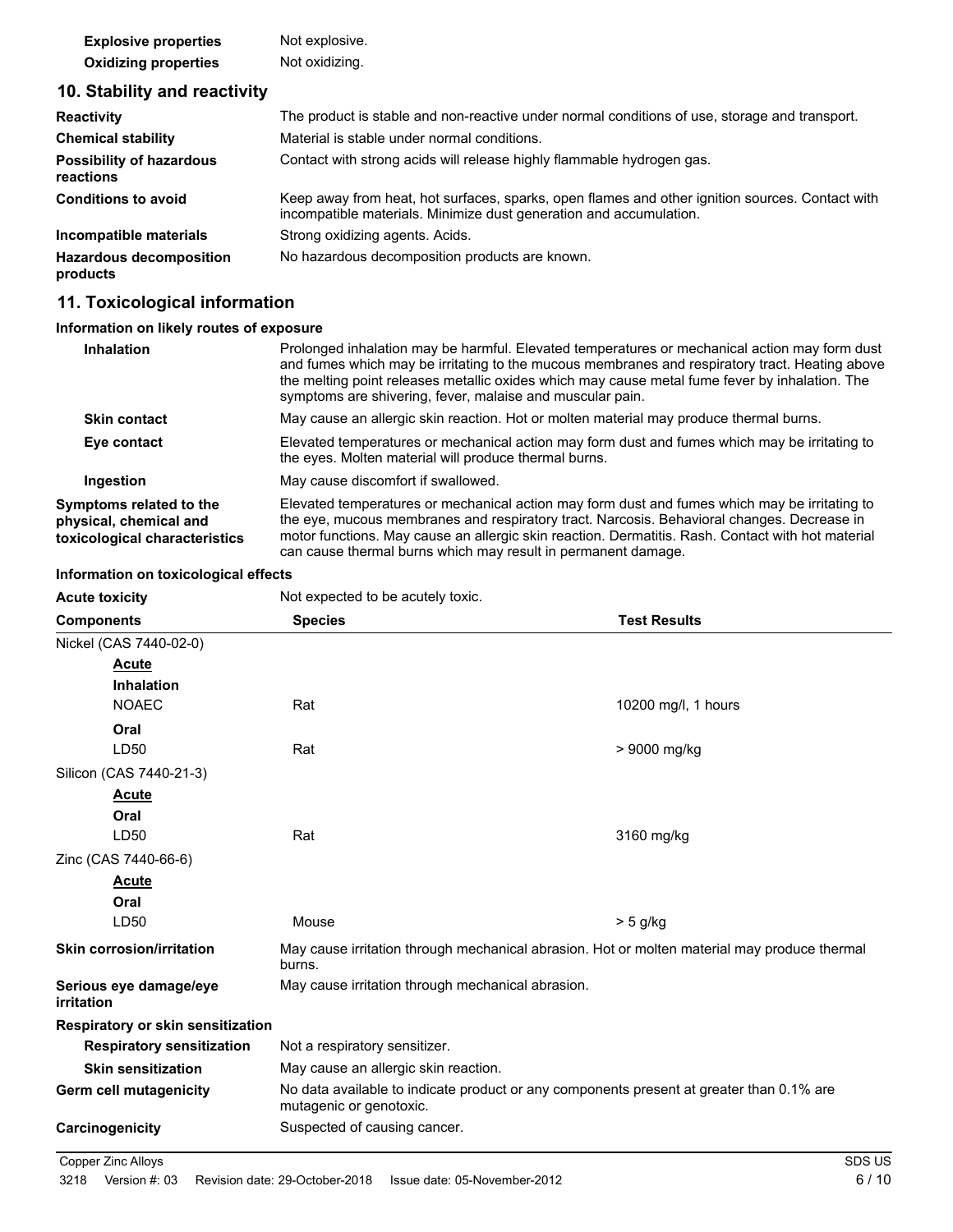| <b>Explosive properties</b> | Not explosive. |
|-----------------------------|----------------|
| <b>Oxidizing properties</b> | Not oxidizing. |

## **10. Stability and reactivity**

| <b>Reactivity</b>                            | The product is stable and non-reactive under normal conditions of use, storage and transport.                                                                         |
|----------------------------------------------|-----------------------------------------------------------------------------------------------------------------------------------------------------------------------|
| <b>Chemical stability</b>                    | Material is stable under normal conditions.                                                                                                                           |
| <b>Possibility of hazardous</b><br>reactions | Contact with strong acids will release highly flammable hydrogen gas.                                                                                                 |
| <b>Conditions to avoid</b>                   | Keep away from heat, hot surfaces, sparks, open flames and other ignition sources. Contact with<br>incompatible materials. Minimize dust generation and accumulation. |
| Incompatible materials                       | Strong oxidizing agents. Acids.                                                                                                                                       |
| <b>Hazardous decomposition</b><br>products   | No hazardous decomposition products are known.                                                                                                                        |

## **11. Toxicological information**

### **Information on likely routes of exposure**

| Inhalation                                                                         | Prolonged inhalation may be harmful. Elevated temperatures or mechanical action may form dust<br>and fumes which may be irritating to the mucous membranes and respiratory tract. Heating above<br>the melting point releases metallic oxides which may cause metal fume fever by inhalation. The<br>symptoms are shivering, fever, malaise and muscular pain.    |
|------------------------------------------------------------------------------------|-------------------------------------------------------------------------------------------------------------------------------------------------------------------------------------------------------------------------------------------------------------------------------------------------------------------------------------------------------------------|
| <b>Skin contact</b>                                                                | May cause an allergic skin reaction. Hot or molten material may produce thermal burns.                                                                                                                                                                                                                                                                            |
| Eye contact                                                                        | Elevated temperatures or mechanical action may form dust and fumes which may be irritating to<br>the eyes. Molten material will produce thermal burns.                                                                                                                                                                                                            |
| Ingestion                                                                          | May cause discomfort if swallowed.                                                                                                                                                                                                                                                                                                                                |
| Symptoms related to the<br>physical, chemical and<br>toxicological characteristics | Elevated temperatures or mechanical action may form dust and fumes which may be irritating to<br>the eye, mucous membranes and respiratory tract. Narcosis. Behavioral changes. Decrease in<br>motor functions. May cause an allergic skin reaction. Dermatitis. Rash. Contact with hot material<br>can cause thermal burns which may result in permanent damage. |

#### **Information on toxicological effects**

| <b>Acute toxicity</b>                | Not expected to be acutely toxic.                                                                                   |                     |
|--------------------------------------|---------------------------------------------------------------------------------------------------------------------|---------------------|
| <b>Components</b>                    | <b>Species</b>                                                                                                      | <b>Test Results</b> |
| Nickel (CAS 7440-02-0)               |                                                                                                                     |                     |
| <b>Acute</b>                         |                                                                                                                     |                     |
| <b>Inhalation</b>                    |                                                                                                                     |                     |
| <b>NOAEC</b>                         | Rat                                                                                                                 | 10200 mg/l, 1 hours |
| Oral                                 |                                                                                                                     |                     |
| LD50                                 | Rat                                                                                                                 | > 9000 mg/kg        |
| Silicon (CAS 7440-21-3)              |                                                                                                                     |                     |
| <b>Acute</b>                         |                                                                                                                     |                     |
| Oral                                 |                                                                                                                     |                     |
| LD <sub>50</sub>                     | Rat                                                                                                                 | 3160 mg/kg          |
| Zinc (CAS 7440-66-6)                 |                                                                                                                     |                     |
| <b>Acute</b>                         |                                                                                                                     |                     |
| Oral                                 |                                                                                                                     |                     |
| LD50                                 | Mouse                                                                                                               | $> 5$ g/kg          |
| <b>Skin corrosion/irritation</b>     | May cause irritation through mechanical abrasion. Hot or molten material may produce thermal<br>burns.              |                     |
| Serious eye damage/eye<br>irritation | May cause irritation through mechanical abrasion.                                                                   |                     |
| Respiratory or skin sensitization    |                                                                                                                     |                     |
| <b>Respiratory sensitization</b>     | Not a respiratory sensitizer.                                                                                       |                     |
| <b>Skin sensitization</b>            | May cause an allergic skin reaction.                                                                                |                     |
| Germ cell mutagenicity               | No data available to indicate product or any components present at greater than 0.1% are<br>mutagenic or genotoxic. |                     |
| Carcinogenicity                      | Suspected of causing cancer.                                                                                        |                     |

**Copper Zinc Alloys** SDS US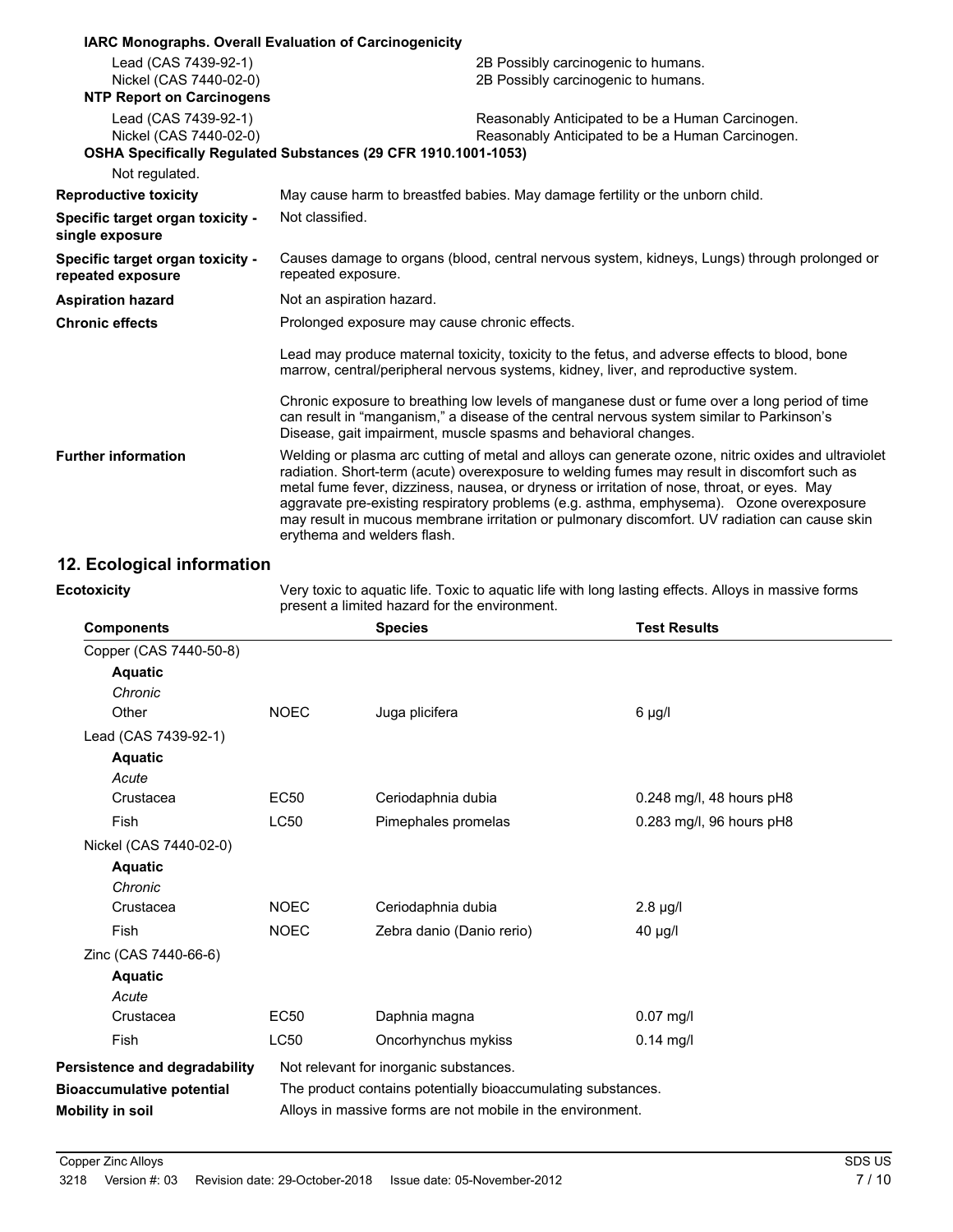|                                                       | IARC Monographs. Overall Evaluation of Carcinogenicity                                                                                                                                                                                                                                                                                                                                                                                                                                                                         |  |
|-------------------------------------------------------|--------------------------------------------------------------------------------------------------------------------------------------------------------------------------------------------------------------------------------------------------------------------------------------------------------------------------------------------------------------------------------------------------------------------------------------------------------------------------------------------------------------------------------|--|
| Lead (CAS 7439-92-1)                                  | 2B Possibly carcinogenic to humans.                                                                                                                                                                                                                                                                                                                                                                                                                                                                                            |  |
| Nickel (CAS 7440-02-0)                                | 2B Possibly carcinogenic to humans.                                                                                                                                                                                                                                                                                                                                                                                                                                                                                            |  |
| <b>NTP Report on Carcinogens</b>                      |                                                                                                                                                                                                                                                                                                                                                                                                                                                                                                                                |  |
| Lead (CAS 7439-92-1)                                  | Reasonably Anticipated to be a Human Carcinogen.                                                                                                                                                                                                                                                                                                                                                                                                                                                                               |  |
| Nickel (CAS 7440-02-0)                                | Reasonably Anticipated to be a Human Carcinogen.                                                                                                                                                                                                                                                                                                                                                                                                                                                                               |  |
|                                                       | OSHA Specifically Regulated Substances (29 CFR 1910.1001-1053)                                                                                                                                                                                                                                                                                                                                                                                                                                                                 |  |
| Not regulated.                                        |                                                                                                                                                                                                                                                                                                                                                                                                                                                                                                                                |  |
| <b>Reproductive toxicity</b>                          | May cause harm to breastfed babies. May damage fertility or the unborn child.                                                                                                                                                                                                                                                                                                                                                                                                                                                  |  |
| Specific target organ toxicity -<br>single exposure   | Not classified.                                                                                                                                                                                                                                                                                                                                                                                                                                                                                                                |  |
| Specific target organ toxicity -<br>repeated exposure | Causes damage to organs (blood, central nervous system, kidneys, Lungs) through prolonged or<br>repeated exposure.                                                                                                                                                                                                                                                                                                                                                                                                             |  |
| <b>Aspiration hazard</b>                              | Not an aspiration hazard.                                                                                                                                                                                                                                                                                                                                                                                                                                                                                                      |  |
| <b>Chronic effects</b>                                | Prolonged exposure may cause chronic effects.                                                                                                                                                                                                                                                                                                                                                                                                                                                                                  |  |
|                                                       | Lead may produce maternal toxicity, toxicity to the fetus, and adverse effects to blood, bone<br>marrow, central/peripheral nervous systems, kidney, liver, and reproductive system.                                                                                                                                                                                                                                                                                                                                           |  |
|                                                       | Chronic exposure to breathing low levels of manganese dust or fume over a long period of time<br>can result in "manganism," a disease of the central nervous system similar to Parkinson's<br>Disease, gait impairment, muscle spasms and behavioral changes.                                                                                                                                                                                                                                                                  |  |
| <b>Further information</b>                            | Welding or plasma arc cutting of metal and alloys can generate ozone, nitric oxides and ultraviolet<br>radiation. Short-term (acute) overexposure to welding fumes may result in discomfort such as<br>metal fume fever, dizziness, nausea, or dryness or irritation of nose, throat, or eyes. May<br>aggravate pre-existing respiratory problems (e.g. asthma, emphysema). Ozone overexposure<br>may result in mucous membrane irritation or pulmonary discomfort. UV radiation can cause skin<br>erythema and welders flash. |  |

## **12. Ecological information**

**Ecotoxicity**

Very toxic to aquatic life. Toxic to aquatic life with long lasting effects. Alloys in massive forms present a limited hazard for the environment.

| <b>Components</b>                |                                                              | <b>Species</b>                         | <b>Test Results</b>      |
|----------------------------------|--------------------------------------------------------------|----------------------------------------|--------------------------|
| Copper (CAS 7440-50-8)           |                                                              |                                        |                          |
| <b>Aquatic</b>                   |                                                              |                                        |                          |
| Chronic                          |                                                              |                                        |                          |
| Other                            | <b>NOEC</b>                                                  | Juga plicifera                         | $6 \mu g/l$              |
| Lead (CAS 7439-92-1)             |                                                              |                                        |                          |
| <b>Aquatic</b>                   |                                                              |                                        |                          |
| Acute                            |                                                              |                                        |                          |
| Crustacea                        | <b>EC50</b>                                                  | Ceriodaphnia dubia                     | 0.248 mg/l, 48 hours pH8 |
| <b>Fish</b>                      | <b>LC50</b>                                                  | Pimephales promelas                    | 0.283 mg/l, 96 hours pH8 |
| Nickel (CAS 7440-02-0)           |                                                              |                                        |                          |
| <b>Aquatic</b>                   |                                                              |                                        |                          |
| Chronic                          |                                                              |                                        |                          |
| Crustacea                        | <b>NOEC</b>                                                  | Ceriodaphnia dubia                     | $2.8 \mu g/l$            |
| Fish                             | <b>NOEC</b>                                                  | Zebra danio (Danio rerio)              | 40 µg/l                  |
| Zinc (CAS 7440-66-6)             |                                                              |                                        |                          |
| <b>Aquatic</b>                   |                                                              |                                        |                          |
| Acute                            |                                                              |                                        |                          |
| Crustacea                        | <b>EC50</b>                                                  | Daphnia magna                          | $0.07$ mg/l              |
| Fish                             | <b>LC50</b>                                                  | Oncorhynchus mykiss                    | $0.14$ mg/l              |
| Persistence and degradability    |                                                              | Not relevant for inorganic substances. |                          |
| <b>Bioaccumulative potential</b> | The product contains potentially bioaccumulating substances. |                                        |                          |
| <b>Mobility in soil</b>          | Alloys in massive forms are not mobile in the environment.   |                                        |                          |
|                                  |                                                              |                                        |                          |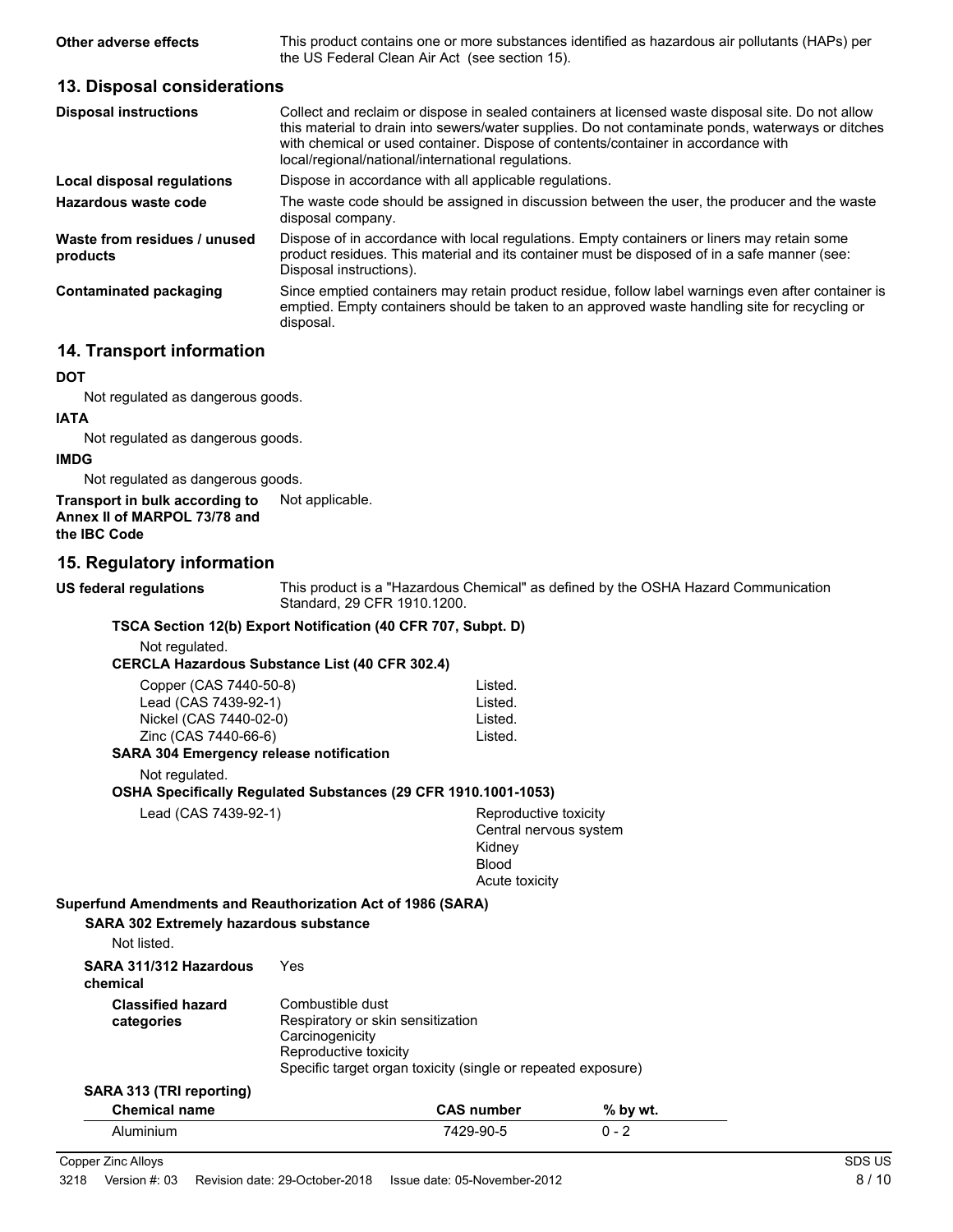**Other adverse effects** This product contains one or more substances identified as hazardous air pollutants (HAPs) per the US Federal Clean Air Act (see section 15).

#### **13. Disposal considerations**

| <b>Disposal instructions</b>             | Collect and reclaim or dispose in sealed containers at licensed waste disposal site. Do not allow<br>this material to drain into sewers/water supplies. Do not contaminate ponds, waterways or ditches<br>with chemical or used container. Dispose of contents/container in accordance with<br>local/regional/national/international regulations. |
|------------------------------------------|---------------------------------------------------------------------------------------------------------------------------------------------------------------------------------------------------------------------------------------------------------------------------------------------------------------------------------------------------|
| Local disposal regulations               | Dispose in accordance with all applicable regulations.                                                                                                                                                                                                                                                                                            |
| Hazardous waste code                     | The waste code should be assigned in discussion between the user, the producer and the waste<br>disposal company.                                                                                                                                                                                                                                 |
| Waste from residues / unused<br>products | Dispose of in accordance with local regulations. Empty containers or liners may retain some<br>product residues. This material and its container must be disposed of in a safe manner (see:<br>Disposal instructions).                                                                                                                            |
| <b>Contaminated packaging</b>            | Since emptied containers may retain product residue, follow label warnings even after container is<br>emptied. Empty containers should be taken to an approved waste handling site for recycling or<br>disposal.                                                                                                                                  |

## **14. Transport information**

#### **DOT**

Not regulated as dangerous goods.

#### **IATA**

Not regulated as dangerous goods.

#### **IMDG**

Not regulated as dangerous goods.

**Transport in bulk according to** Not applicable. **Annex II of MARPOL 73/78 and**

**the IBC Code**

#### **15. Regulatory information**

**US federal regulations**

This product is a "Hazardous Chemical" as defined by the OSHA Hazard Communication Standard, 29 CFR 1910.1200.

#### **TSCA Section 12(b) Export Notification (40 CFR 707, Subpt. D)**

Not regulated.

**CERCLA Hazardous Substance List (40 CFR 302.4)**

| Copper (CAS 7440-50-8) | Listed. |
|------------------------|---------|
| Lead (CAS 7439-92-1)   | Listed. |
| Nickel (CAS 7440-02-0) | Listed. |
| Zinc (CAS 7440-66-6)   | Listed. |
|                        |         |

#### **SARA 304 Emergency release notification**

Not regulated.

#### **OSHA Specifically Regulated Substances (29 CFR 1910.1001-1053)**

Lead (CAS 7439-92-1)

| Reproductive toxicity  |
|------------------------|
| Central nervous system |
| Kidney                 |
| Blood                  |
| Acute toxicity         |
|                        |

#### **Superfund Amendments and Reauthorization Act of 1986 (SARA)**

**SARA 302 Extremely hazardous substance**

Not listed.

| SARA 311/312 Hazardous<br>chemical     | Yes                                                                                                                                                               |
|----------------------------------------|-------------------------------------------------------------------------------------------------------------------------------------------------------------------|
| <b>Classified hazard</b><br>categories | Combustible dust<br>Respiratory or skin sensitization<br>Carcinogenicity<br>Reproductive toxicity<br>Specific target organ toxicity (single or repeated exposure) |

## **SARA 313 (TRI reporting)**

| <b>Chemical name</b> | <b>CAS number</b> | % by wt. |
|----------------------|-------------------|----------|
| Aluminium            | 7429-90-5         | $0 - 2$  |

Copper Zinc Alloys SDS US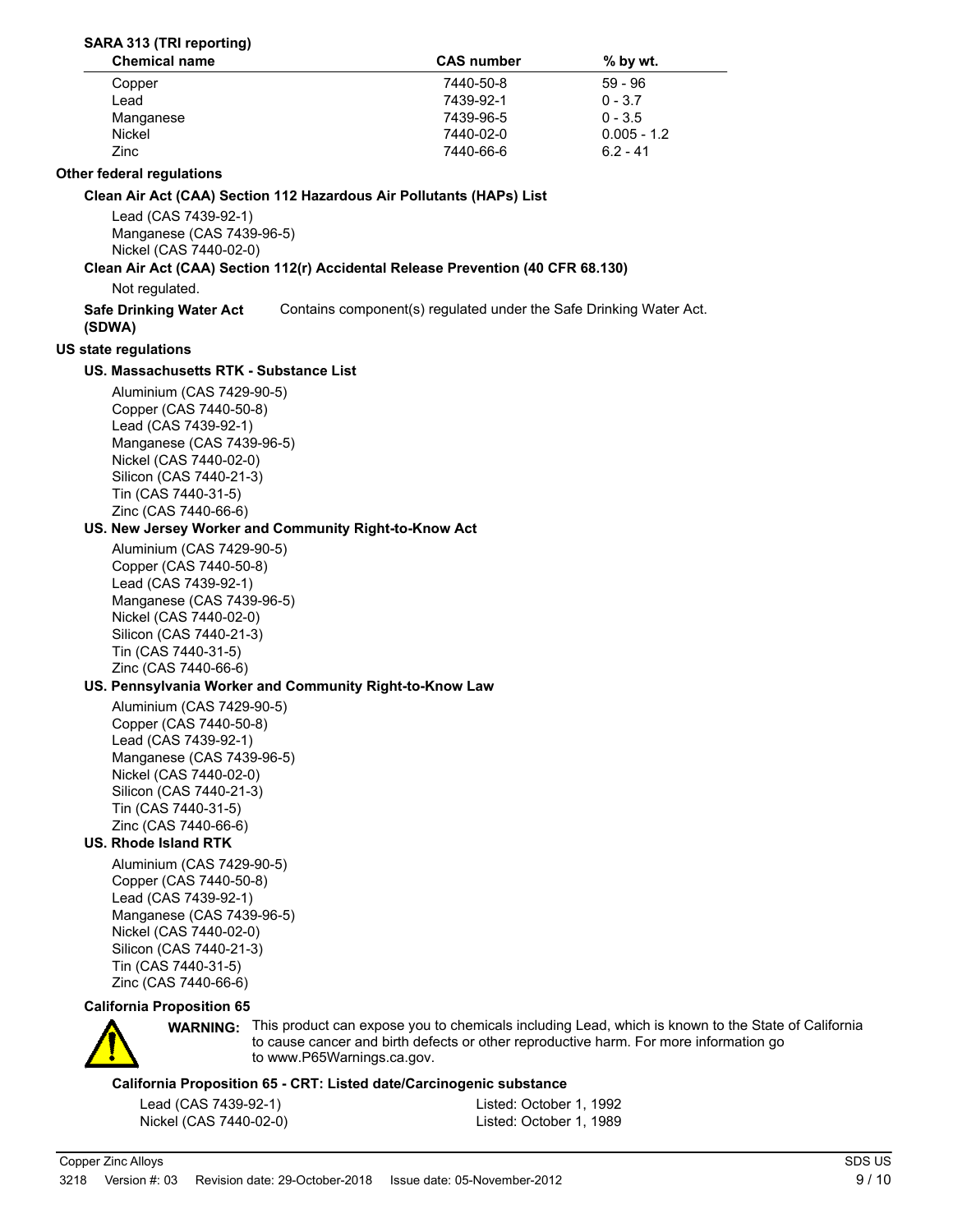#### **SARA 313 (TRI reporting)**

| <b>CAS number</b> | $%$ by wt.    |  |
|-------------------|---------------|--|
| 7440-50-8         | $59 - 96$     |  |
| 7439-92-1         | $0 - 3.7$     |  |
| 7439-96-5         | $0 - 3.5$     |  |
| 7440-02-0         | $0.005 - 1.2$ |  |
| 7440-66-6         | $6.2 - 41$    |  |
|                   |               |  |

#### **Other federal regulations**

**Clean Air Act (CAA) Section 112 Hazardous Air Pollutants (HAPs) List**

Lead (CAS 7439-92-1) Manganese (CAS 7439-96-5) Nickel (CAS 7440-02-0)

#### **Clean Air Act (CAA) Section 112(r) Accidental Release Prevention (40 CFR 68.130)**

Not regulated.

**Safe Drinking Water Act** Contains component(s) regulated under the Safe Drinking Water Act.

#### **(SDWA) US state regulations**

#### **US. Massachusetts RTK - Substance List**

Aluminium (CAS 7429-90-5) Copper (CAS 7440-50-8) Lead (CAS 7439-92-1) Manganese (CAS 7439-96-5) Nickel (CAS 7440-02-0) Silicon (CAS 7440-21-3) Tin (CAS 7440-31-5) Zinc (CAS 7440-66-6)

#### **US. New Jersey Worker and Community Right-to-Know Act**

Aluminium (CAS 7429-90-5) Copper (CAS 7440-50-8) Lead (CAS 7439-92-1) Manganese (CAS 7439-96-5) Nickel (CAS 7440-02-0) Silicon (CAS 7440-21-3) Tin (CAS 7440-31-5) Zinc (CAS 7440-66-6)

#### **US. Pennsylvania Worker and Community Right-to-Know Law**

Aluminium (CAS 7429-90-5) Copper (CAS 7440-50-8) Lead (CAS 7439-92-1) Manganese (CAS 7439-96-5) Nickel (CAS 7440-02-0) Silicon (CAS 7440-21-3) Tin (CAS 7440-31-5) Zinc (CAS 7440-66-6)

#### **US. Rhode Island RTK**

Aluminium (CAS 7429-90-5) Copper (CAS 7440-50-8) Lead (CAS 7439-92-1) Manganese (CAS 7439-96-5) Nickel (CAS 7440-02-0) Silicon (CAS 7440-21-3) Tin (CAS 7440-31-5) Zinc (CAS 7440-66-6)

#### **California Proposition 65**



**WARNING:** This product can expose you to chemicals including Lead, which is known to the State of California to cause cancer and birth defects or other reproductive harm. For more information go to www.P65Warnings.ca.gov.

#### **California Proposition 65 - CRT: Listed date/Carcinogenic substance**

| Lead (CAS 7439-92-1)   |  |
|------------------------|--|
| Nickel (CAS 7440-02-0) |  |

Listed: October 1, 1992 Listed: October 1, 1989